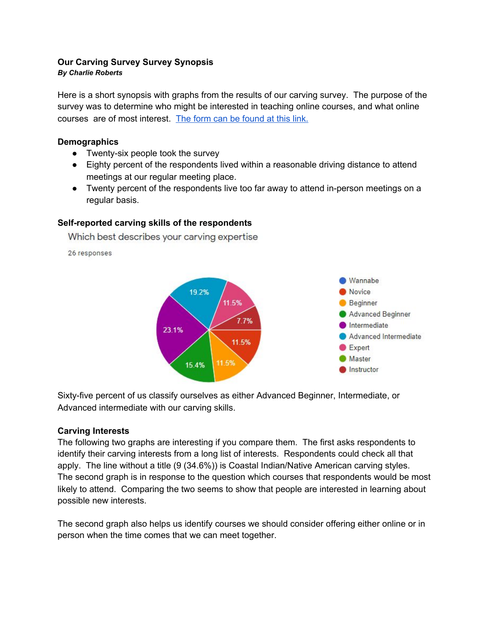# **Our Carving Survey Survey Synopsis**

#### *By Charlie Roberts*

Here is a short synopsis with graphs from the results of our carving survey. The purpose of the survey was to determine who might be interested in teaching online courses, and what online courses are of most interest. The form can be [found](https://docs.google.com/forms/d/e/1FAIpQLSdz_cIjvuLkaerwLtzZjlhzCmFpvZatbK-kY8sG9BjlGiV73g/viewform?usp=sf_link) at this link.

## **Demographics**

- Twenty-six people took the survey
- Eighty percent of the respondents lived within a reasonable driving distance to attend meetings at our regular meeting place.
- Twenty percent of the respondents live too far away to attend in-person meetings on a regular basis.

## **Self-reported carving skills of the respondents**

Which best describes your carving expertise

26 responses



Sixty-five percent of us classify ourselves as either Advanced Beginner, Intermediate, or Advanced intermediate with our carving skills.

### **Carving Interests**

The following two graphs are interesting if you compare them. The first asks respondents to identify their carving interests from a long list of interests. Respondents could check all that apply. The line without a title (9 (34.6%)) is Coastal Indian/Native American carving styles. The second graph is in response to the question which courses that respondents would be most likely to attend. Comparing the two seems to show that people are interested in learning about possible new interests.

The second graph also helps us identify courses we should consider offering either online or in person when the time comes that we can meet together.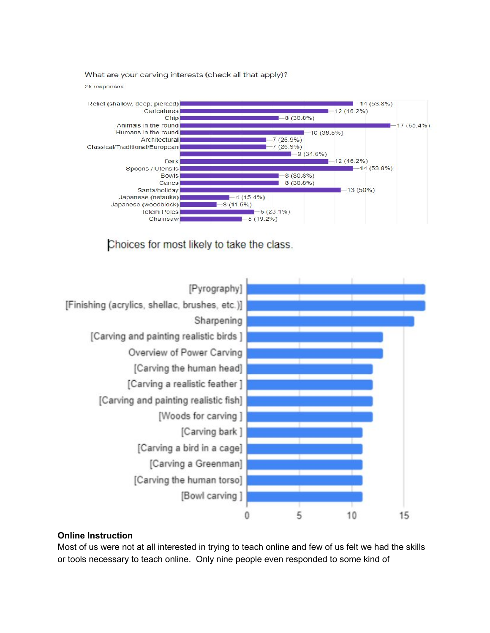What are your carving interests (check all that apply)?

26 responses



Choices for most likely to take the class.



### **Online Instruction**

Most of us were not at all interested in trying to teach online and few of us felt we had the skills or tools necessary to teach online. Only nine people even responded to some kind of